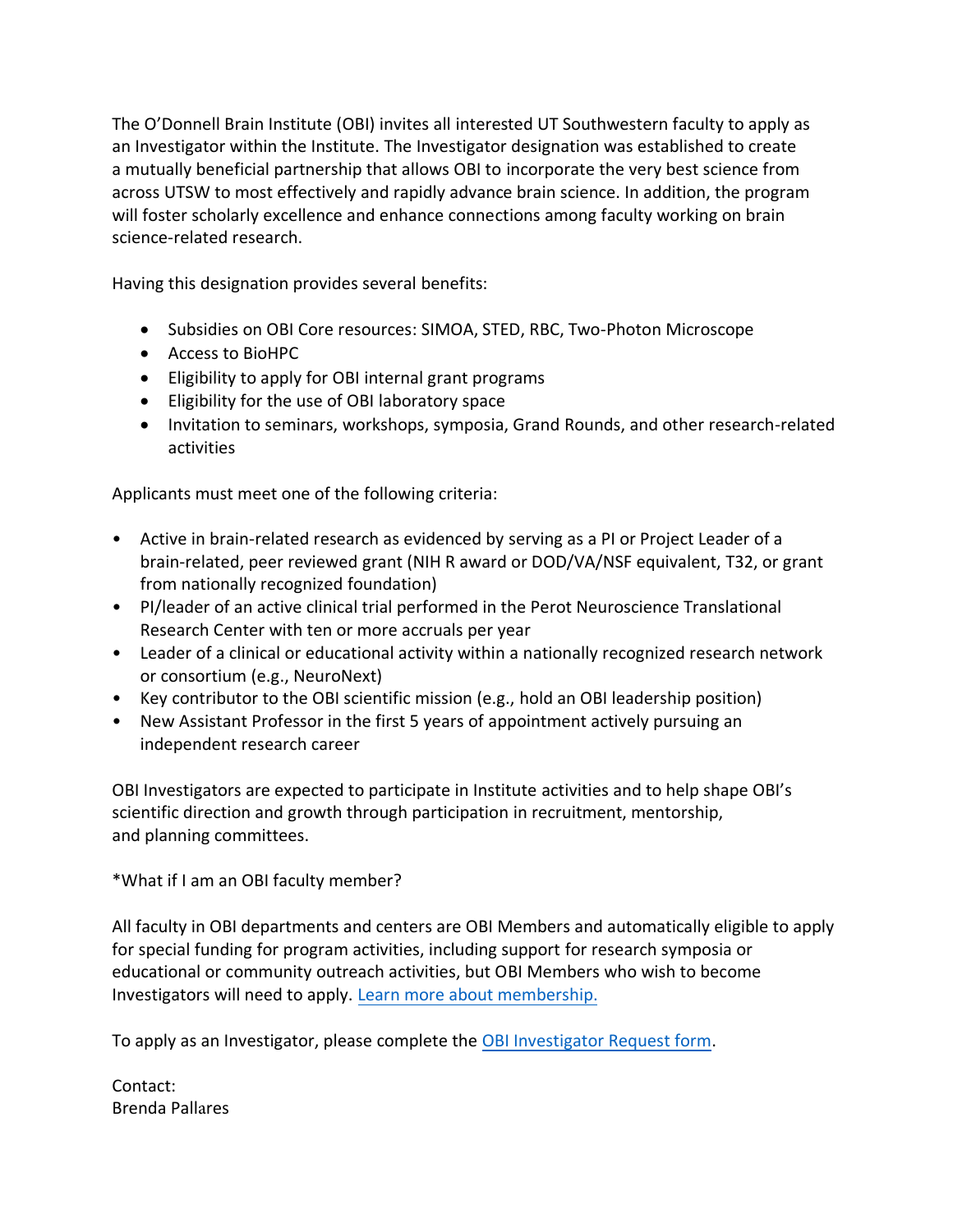The O'Donnell Brain Institute (OBI) invites all interested UT Southwestern faculty to apply as an Investigator within the Institute. The Investigator designation was established to create a mutually beneficial partnership that allows OBI to incorporate the very best science from across UTSW to most effectively and rapidly advance brain science. In addition, the program will foster scholarly excellence and enhance connections among faculty working on brain science-related research.

Having this designation provides several benefits:

- Subsidies on OBI Core resources: SIMOA, STED, RBC, Two-Photon Microscope
- Access to BioHPC
- Eligibility to apply for OBI internal grant programs
- Eligibility for the use of OBI laboratory space
- Invitation to seminars, workshops, symposia, Grand Rounds, and other research-related activities

Applicants must meet one of the following criteria:

- Active in brain-related research as evidenced by serving as a PI or Project Leader of a brain-related, peer reviewed grant (NIH R award or DOD/VA/NSF equivalent, T32, or grant from nationally recognized foundation)
- PI/leader of an active clinical trial performed in the Perot Neuroscience Translational Research Center with ten or more accruals per year
- Leader of a clinical or educational activity within a nationally recognized research network or consortium (e.g., NeuroNext)
- Key contributor to the OBI scientific mission (e.g., hold an OBI leadership position)
- New Assistant Professor in the first 5 years of appointment actively pursuing an independent research career

OBI Investigators are expected to participate in Institute activities and to help shape OBI's scientific direction and growth through participation in recruitment, mentorship, and planning committees.

\*What if I am an OBI faculty member?

All faculty in OBI departments and centers are OBI Members and automatically eligible to apply for special funding for program activities, including support for research symposia or educational or community outreach activities, but OBI Members who wish to become Investigators will need to apply. [Learn more about membership.](https://odonnellbraininstitute.utsouthwestern.edu/assets/researcher-support.pdf)

To apply as an Investigator, please complete the [OBI Investigator Request form.](https://forms.office.com/Pages/ResponsePage.aspx?id=lYZBnaxxMUy1ssGWyOw8iihcvw09fjlGvk48lS7iTVhURERYNkFOREpKVlpIMUg0UkFOV0FEUkEySy4u)

Contact: Brenda Pallares